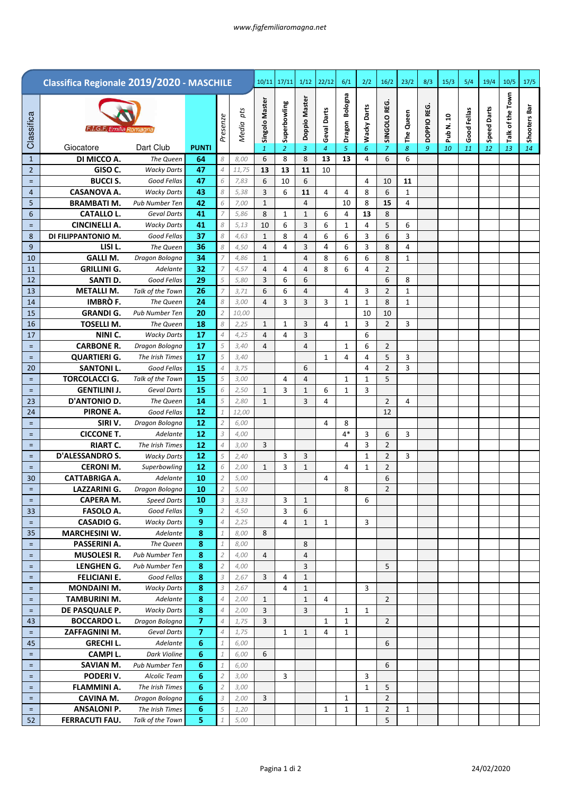|                     | Classifica Regionale 2019/2020 - MASCHILE |                                    |                |                                  |               | 10/11          | 17/11          | 1/12                       | 22/12          | 6/1            | 2/2                         | 16/2                             | 23/2           | 8/3        | 15/3      | 5/4         | 19/4               | 10/5             | 17/5         |
|---------------------|-------------------------------------------|------------------------------------|----------------|----------------------------------|---------------|----------------|----------------|----------------------------|----------------|----------------|-----------------------------|----------------------------------|----------------|------------|-----------|-------------|--------------------|------------------|--------------|
|                     |                                           |                                    |                |                                  |               |                |                |                            |                |                |                             |                                  |                |            |           |             |                    |                  |              |
|                     |                                           |                                    |                |                                  | pts           | Singolo Master | Superbowling   | Doppio Master              |                | Dragon Bologna |                             | SINGOLO REG.                     |                |            |           |             |                    | Talk of the Town |              |
| Classifica          | F.I.G.F. Emilia Romagna                   |                                    |                | Presenze                         |               |                |                |                            | Geval Darts    |                | <b>Wacky Darts</b>          |                                  | The Queen      | DOPPIO REG | Pub N. 10 | Good Fellas | <b>Speed Darts</b> |                  | Shooters Bar |
|                     |                                           |                                    |                |                                  | Media         |                |                |                            |                |                |                             |                                  |                |            |           |             |                    |                  |              |
|                     | Giocatore                                 | Dart Club                          | <b>PUNTI</b>   |                                  |               | $\mathbf{1}$   | 2              | $\mathbf{3}$               | $\overline{4}$ | 5              | 6                           | 7                                | 8              | 9          | 10        | 11          | 12                 | 13               | 14           |
| $\mathbf{1}$        | DI MICCO A.<br>GISO C.                    | The Queen                          | 64<br>47       | 8                                | 8,00          | 6              | 8              | 8                          | 13             | 13             | 4                           | 6                                | 6              |            |           |             |                    |                  |              |
| $\overline{2}$<br>Ξ | <b>BUCCI S.</b>                           | <b>Wacky Darts</b><br>Good Fellas  | 47             | $\overline{4}$<br>6              | 11,75<br>7,83 | 13<br>6        | 13<br>10       | 11<br>6                    | 10             |                | 4                           | 10                               | 11             |            |           |             |                    |                  |              |
| 4                   | <b>CASANOVA A.</b>                        | <b>Wacky Darts</b>                 | 43             | 8                                | 5,38          | 3              | 6              | 11                         | 4              | 4              | 8                           | 6                                | $\mathbf{1}$   |            |           |             |                    |                  |              |
| 5                   | <b>BRAMBATI M.</b>                        | <b>Pub Number Ten</b>              | 42             | 6                                | 7,00          | $\mathbf{1}$   |                | $\overline{4}$             |                | 10             | 8                           | 15                               | 4              |            |           |             |                    |                  |              |
| 6                   | <b>CATALLO L.</b>                         | Geval Darts                        | 41             | $\overline{7}$                   | 5,86          | 8              | 1              | 1                          | 6              | 4              | 13                          | 8                                |                |            |           |             |                    |                  |              |
| Ξ                   | <b>CINCINELLI A.</b>                      | <b>Wacky Darts</b>                 | 41             | 8                                | 5,13          | 10             | 6              | 3                          | 6              | $\mathbf 1$    | 4                           | 5                                | 6              |            |           |             |                    |                  |              |
| 8                   | DI FILIPPANTONIO M.                       | Good Fellas                        | 37             | 8                                | 4,63          | $\mathbf{1}$   | 8              | $\overline{4}$             | 6              | 6              | 3                           | 6                                | 3              |            |           |             |                    |                  |              |
| 9                   | LISI L.                                   | The Queen                          | 36             | 8                                | 4,50          | 4              | 4              | 3                          | 4              | 6              | 3                           | 8                                | $\overline{4}$ |            |           |             |                    |                  |              |
| 10                  | <b>GALLI M.</b>                           | Dragon Bologna                     | 34             | $\overline{7}$                   | 4,86          | $\mathbf{1}$   |                | $\overline{4}$             | 8              | 6              | 6                           | 8                                | $\mathbf{1}$   |            |           |             |                    |                  |              |
| 11                  | <b>GRILLINI G.</b>                        | Adelante                           | 32             | $\overline{7}$                   | 4,57          | 4              | 4              | 4                          | 8              | 6              | 4                           | $\overline{2}$                   |                |            |           |             |                    |                  |              |
| 12                  | SANTI D.                                  | Good Fellas                        | 29             | 5                                | 5,80          | 3              | 6              | 6                          |                |                |                             | 6                                | 8              |            |           |             |                    |                  |              |
| 13                  | <b>METALLI M.</b>                         | Talk of the Town                   | 26             | $\overline{7}$                   | 3,71          | 6              | 6              | $\overline{4}$             |                | 4              | 3                           | $\overline{2}$                   | 1              |            |           |             |                    |                  |              |
| 14<br>15            | IMBRÒ F.<br><b>GRANDI G.</b>              | The Queen<br><b>Pub Number Ten</b> | 24<br>20       | 8<br>$\overline{2}$              | 3,00<br>10,00 | 4              | 3              | 3                          | 3              | 1              | $\mathbf{1}$<br>10          | 8<br>10                          | 1              |            |           |             |                    |                  |              |
| 16                  | <b>TOSELLI M.</b>                         | The Queen                          | 18             | 8                                | 2,25          | $\mathbf{1}$   | 1              | 3                          | 4              | 1              | 3                           | $\overline{2}$                   | 3              |            |           |             |                    |                  |              |
| 17                  | NINI C.                                   | <b>Wacky Darts</b>                 | 17             | $\overline{4}$                   | 4,25          | 4              | $\overline{4}$ | $\overline{3}$             |                |                | 6                           |                                  |                |            |           |             |                    |                  |              |
| $=$                 | <b>CARBONE R.</b>                         | Dragon Bologna                     | 17             | 5                                | 3,40          | 4              |                | $\overline{4}$             |                | $\mathbf{1}$   | 6                           | $\overline{2}$                   |                |            |           |             |                    |                  |              |
| Ξ                   | <b>QUARTIERI G.</b>                       | The Irish Times                    | 17             | 5                                | 3,40          |                |                |                            | 1              | 4              | 4                           | 5                                | 3              |            |           |             |                    |                  |              |
| 20                  | <b>SANTONI L.</b>                         | Good Fellas                        | 15             | $\overline{4}$                   | 3,75          |                |                | 6                          |                |                | 4                           | $\overline{2}$                   | 3              |            |           |             |                    |                  |              |
| $=$                 | <b>TORCOLACCI G.</b>                      | Talk of the Town                   | 15             | 5                                | 3,00          |                | $\overline{4}$ | $\overline{4}$             |                | 1              | $\mathbf{1}$                | 5                                |                |            |           |             |                    |                  |              |
| $=$                 | <b>GENTILINI J.</b>                       | Geval Darts                        | 15             | 6                                | 2,50          | $\mathbf{1}$   | 3              | $\mathbf{1}$               | 6              | 1              | 3                           |                                  |                |            |           |             |                    |                  |              |
| 23                  | <b>D'ANTONIO D.</b>                       | The Queen                          | 14             | 5                                | 2,80          | 1              |                | 3                          | 4              |                |                             | $\overline{2}$                   | $\overline{4}$ |            |           |             |                    |                  |              |
| 24                  | PIRONE A.                                 | Good Fellas                        | 12             | $\mathcal{I}$                    | 12,00         |                |                |                            |                |                |                             | 12                               |                |            |           |             |                    |                  |              |
| $=$                 | SIRI V.                                   | Dragon Bologna                     | 12             | $\overline{2}$                   | 6,00          |                |                |                            | 4              | 8              |                             |                                  |                |            |           |             |                    |                  |              |
| $=$                 | <b>CICCONE T.</b>                         | Adelante                           | 12             | $\mathfrak{Z}$                   | 4,00          |                |                |                            |                | $4*$           | 3                           | 6                                | 3              |            |           |             |                    |                  |              |
| $=$                 | <b>RIART C.</b><br><b>D'ALESSANDRO S.</b> | The Irish Times                    | 12<br>12       | $\overline{4}$<br>5              | 3,00          | 3              |                |                            |                | 4              | 3                           | $\overline{2}$                   |                |            |           |             |                    |                  |              |
| $=$<br>$\equiv$     | <b>CERONI M.</b>                          | <b>Wacky Darts</b><br>Superbowling | 12             | 6                                | 2,40<br>2,00  | $\mathbf{1}$   | 3<br>3         | 3<br>$\mathbf{1}$          |                | 4              | $\mathbf 1$<br>$\mathbf{1}$ | $\overline{2}$<br>$\overline{2}$ | 3              |            |           |             |                    |                  |              |
| 30                  | <b>CATTABRIGA A.</b>                      | Adelante                           | 10             | $\overline{2}$                   | 5,00          |                |                |                            | 4              |                |                             | 6                                |                |            |           |             |                    |                  |              |
| $=$                 | <b>LAZZARINI G.</b>                       | Dragon Bologna                     | 10             | $\overline{2}$                   | 5,00          |                |                |                            |                | 8              |                             | $\overline{2}$                   |                |            |           |             |                    |                  |              |
| Ξ                   | <b>CAPERA M.</b>                          | <b>Speed Darts</b>                 | 10             | $\mathcal Z$                     | 3,33          |                | 3              | $\mathbf{1}$               |                |                | 6                           |                                  |                |            |           |             |                    |                  |              |
| 33                  | <b>FASOLO A.</b>                          | Good Fellas                        | 9              | $\overline{2}$                   | 4,50          |                | 3              | 6                          |                |                |                             |                                  |                |            |           |             |                    |                  |              |
| $\equiv$            | <b>CASADIO G.</b>                         | <b>Wacky Darts</b>                 | 9              | $\overline{4}$                   | 2,25          |                | $\overline{4}$ | $\mathbf{1}$               | 1              |                | 3                           |                                  |                |            |           |             |                    |                  |              |
| 35                  | <b>MARCHESINI W.</b>                      | Adelante                           | 8              | $\mathcal{1}$                    | 8,00          | 8              |                |                            |                |                |                             |                                  |                |            |           |             |                    |                  |              |
| Ξ.                  | PASSERINI A.                              | The Queen                          | 8              | $\mathcal{1}$                    | 8,00          |                |                | 8                          |                |                |                             |                                  |                |            |           |             |                    |                  |              |
| $=$                 | <b>MUSOLESI R.</b>                        | Pub Number Ten                     | 8              | $\overline{2}$                   | 4,00          | $\overline{4}$ |                | $\sqrt{4}$                 |                |                |                             |                                  |                |            |           |             |                    |                  |              |
| $=$                 | LENGHEN G.                                | Pub Number Ten                     | 8              | $\overline{2}$                   | 4,00          |                |                | $\overline{3}$             |                |                |                             | 5                                |                |            |           |             |                    |                  |              |
| Ξ                   | <b>FELICIANI E.</b>                       | Good Fellas                        | 8              | $\overline{3}$                   | 2,67          | 3              | 4              | $\mathbf{1}$               |                |                |                             |                                  |                |            |           |             |                    |                  |              |
| Ξ.                  | <b>MONDAINI M.</b><br><b>TAMBURINI M.</b> | <b>Wacky Darts</b><br>Adelante     | 8<br>8         | $\mathfrak{Z}$<br>$\overline{4}$ | 2,67<br>2,00  | $\mathbf{1}$   | 4              | $\mathbf 1$<br>$\mathbf 1$ | 4              |                | 3                           | $\overline{2}$                   |                |            |           |             |                    |                  |              |
| $=$<br>$=$          | DE PASQUALE P.                            | <b>Wacky Darts</b>                 | 8              | $\overline{4}$                   | 2,00          | 3              |                | 3                          |                | 1              | 1                           |                                  |                |            |           |             |                    |                  |              |
| 43                  | <b>BOCCARDO L.</b>                        | Dragon Bologna                     | $\overline{7}$ | $\overline{4}$                   | 1,75          | 3              |                |                            | 1              | $\mathbf{1}$   |                             | $\overline{2}$                   |                |            |           |             |                    |                  |              |
| $=$                 | ZAFFAGNINI M.                             | Geval Darts                        | 7              | $\overline{4}$                   | 1,75          |                | 1              | $\mathbf{1}$               | 4              | 1              |                             |                                  |                |            |           |             |                    |                  |              |
| 45                  | <b>GRECHI L.</b>                          | Adelante                           | 6              | $\mathbf{1}$                     | 6,00          |                |                |                            |                |                |                             | 6                                |                |            |           |             |                    |                  |              |
| $\equiv$            | <b>CAMPIL.</b>                            | Dark Violine                       | 6              | $\mathcal{1}$                    | 6,00          | 6              |                |                            |                |                |                             |                                  |                |            |           |             |                    |                  |              |
| $\equiv$            | SAVIAN M.                                 | Pub Number Ten                     | 6              | $\mathbf{1}$                     | 6,00          |                |                |                            |                |                |                             | 6                                |                |            |           |             |                    |                  |              |
| $=$                 | PODERIV.                                  | Alcolic Team                       | 6              | $\overline{2}$                   | 3,00          |                | 3              |                            |                |                | 3                           |                                  |                |            |           |             |                    |                  |              |
| $=$                 | FLAMMINI A.                               | The Irish Times                    | 6              | $\overline{2}$                   | 3,00          |                |                |                            |                |                | $\mathbf{1}$                | 5                                |                |            |           |             |                    |                  |              |
| $=$                 | CAVINA M.                                 | Dragon Bologna                     | 6              | $\mathcal Z$                     | 2,00          | 3              |                |                            |                | 1              |                             | $\overline{2}$                   |                |            |           |             |                    |                  |              |
| $=$                 | <b>ANSALONI P.</b>                        | The Irish Times                    | 6              | 5                                | 1,20          |                |                |                            | 1              | $\mathbf 1$    | 1                           | $\overline{2}$                   | 1              |            |           |             |                    |                  |              |
| 52                  | <b>FERRACUTI FAU.</b>                     | Talk of the Town                   | 5              | $\ensuremath{\mathcal{1}}$       | 5,00          |                |                |                            |                |                |                             | 5                                |                |            |           |             |                    |                  |              |